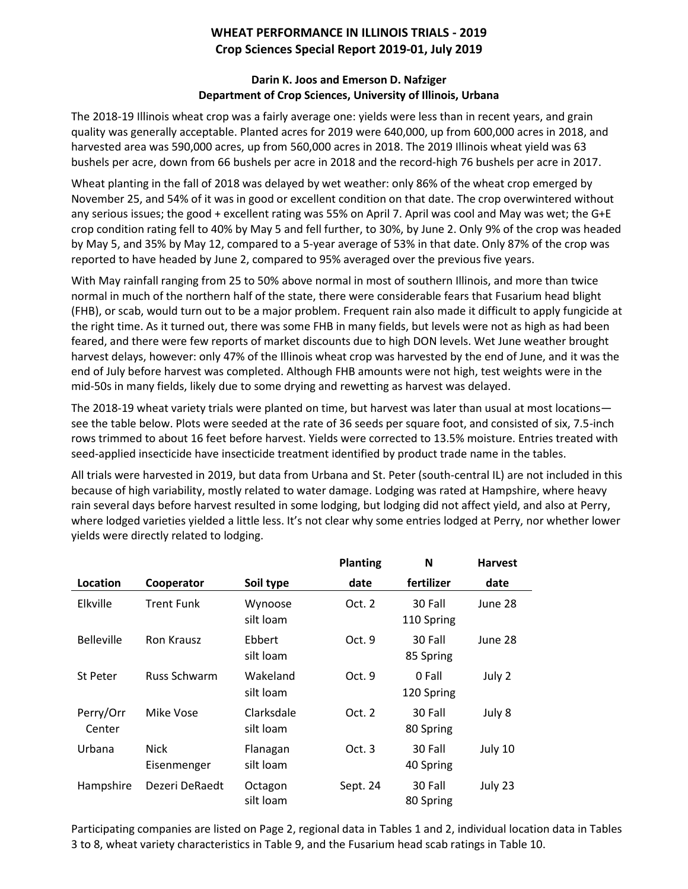## **WHEAT PERFORMANCE IN ILLINOIS TRIALS - 2019 Crop Sciences Special Report 2019-01, July 2019**

## **Darin K. Joos and Emerson D. Nafziger Department of Crop Sciences, University of Illinois, Urbana**

The 2018-19 Illinois wheat crop was a fairly average one: yields were less than in recent years, and grain quality was generally acceptable. Planted acres for 2019 were 640,000, up from 600,000 acres in 2018, and harvested area was 590,000 acres, up from 560,000 acres in 2018. The 2019 Illinois wheat yield was 63 bushels per acre, down from 66 bushels per acre in 2018 and the record-high 76 bushels per acre in 2017.

Wheat planting in the fall of 2018 was delayed by wet weather: only 86% of the wheat crop emerged by November 25, and 54% of it was in good or excellent condition on that date. The crop overwintered without any serious issues; the good + excellent rating was 55% on April 7. April was cool and May was wet; the G+E crop condition rating fell to 40% by May 5 and fell further, to 30%, by June 2. Only 9% of the crop was headed by May 5, and 35% by May 12, compared to a 5-year average of 53% in that date. Only 87% of the crop was reported to have headed by June 2, compared to 95% averaged over the previous five years.

With May rainfall ranging from 25 to 50% above normal in most of southern Illinois, and more than twice normal in much of the northern half of the state, there were considerable fears that Fusarium head blight (FHB), or scab, would turn out to be a major problem. Frequent rain also made it difficult to apply fungicide at the right time. As it turned out, there was some FHB in many fields, but levels were not as high as had been feared, and there were few reports of market discounts due to high DON levels. Wet June weather brought harvest delays, however: only 47% of the Illinois wheat crop was harvested by the end of June, and it was the end of July before harvest was completed. Although FHB amounts were not high, test weights were in the mid-50s in many fields, likely due to some drying and rewetting as harvest was delayed.

The 2018-19 wheat variety trials were planted on time, but harvest was later than usual at most locations see the table below. Plots were seeded at the rate of 36 seeds per square foot, and consisted of six, 7.5-inch rows trimmed to about 16 feet before harvest. Yields were corrected to 13.5% moisture. Entries treated with seed-applied insecticide have insecticide treatment identified by product trade name in the tables.

All trials were harvested in 2019, but data from Urbana and St. Peter (south-central IL) are not included in this because of high variability, mostly related to water damage. Lodging was rated at Hampshire, where heavy rain several days before harvest resulted in some lodging, but lodging did not affect yield, and also at Perry, where lodged varieties yielded a little less. It's not clear why some entries lodged at Perry, nor whether lower yields were directly related to lodging.

|                     |                            |                         | <b>Planting</b> | N                     | <b>Harvest</b> |
|---------------------|----------------------------|-------------------------|-----------------|-----------------------|----------------|
| Location            | Cooperator                 | Soil type               | date            | fertilizer            | date           |
| Elkville            | Trent Funk                 | Wynoose<br>silt loam    | Oct. 2          | 30 Fall<br>110 Spring | June 28        |
| <b>Belleville</b>   | <b>Ron Krausz</b>          | Ebbert<br>silt loam     | Oct. 9          | 30 Fall<br>85 Spring  | June 28        |
| St Peter            | <b>Russ Schwarm</b>        | Wakeland<br>silt loam   | Oct. 9          | 0 Fall<br>120 Spring  | July 2         |
| Perry/Orr<br>Center | Mike Vose                  | Clarksdale<br>silt loam | Oct. $2$        | 30 Fall<br>80 Spring  | July 8         |
| Urbana              | <b>Nick</b><br>Eisenmenger | Flanagan<br>silt loam   | Oct. $3$        | 30 Fall<br>40 Spring  | July 10        |
| Hampshire           | Dezeri DeRaedt             | Octagon<br>silt loam    | Sept. 24        | 30 Fall<br>80 Spring  | July 23        |

Participating companies are listed on Page 2, regional data in Tables 1 and 2, individual location data in Tables 3 to 8, wheat variety characteristics in Table 9, and the Fusarium head scab ratings in Table 10.